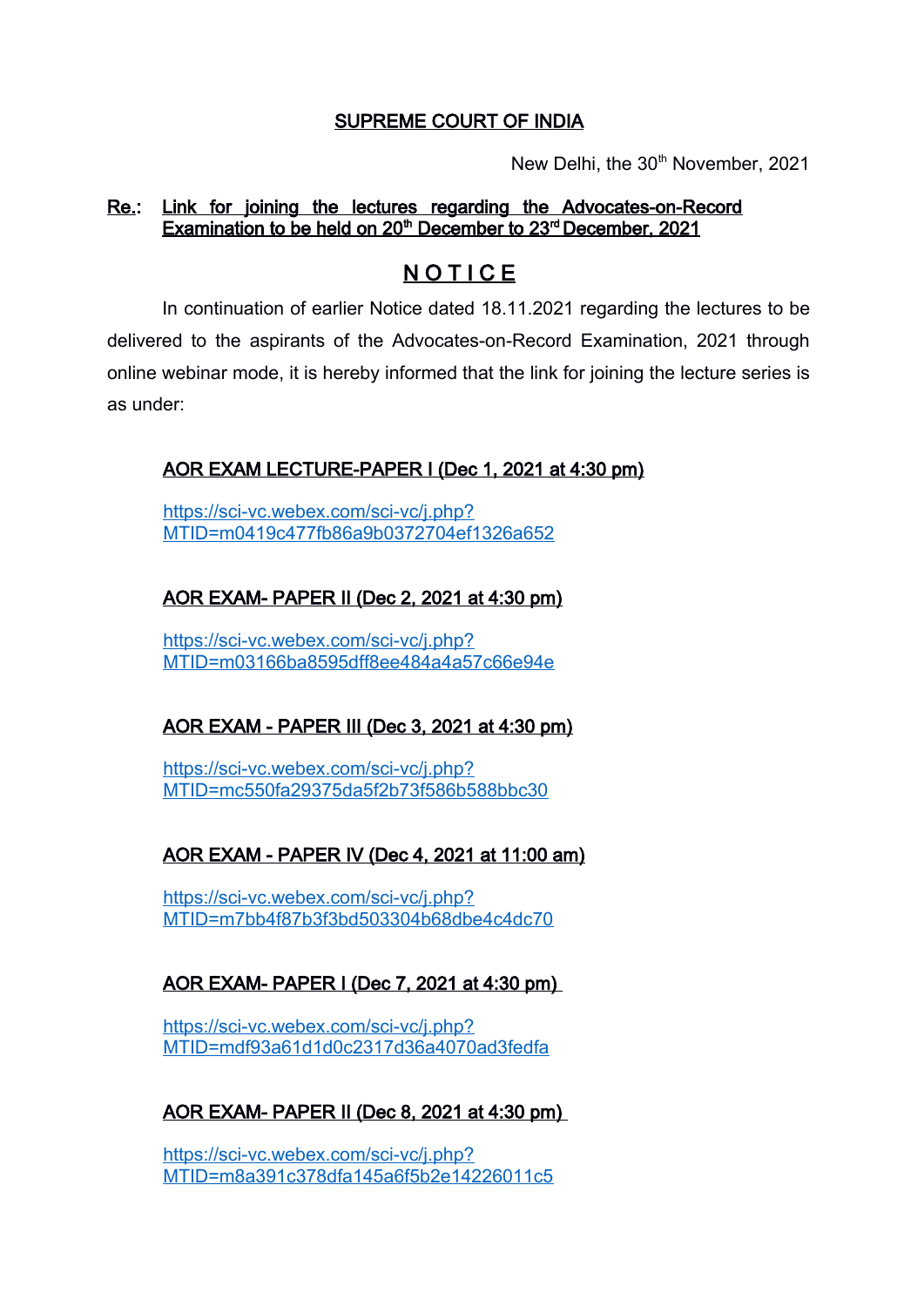#### SUPREME COURT OF INDIA

New Delhi, the 30<sup>th</sup> November, 2021

#### Re.: Link for joining the lectures regarding the Advocates-on-Record Examination to be held on 20<sup>th</sup> December to 23<sup>rd</sup> December, 2021

# **NOTICE**

In continuation of earlier Notice dated 18.11.2021 regarding the lectures to be delivered to the aspirants of the Advocates-on-Record Examination, 2021 through online webinar mode, it is hereby informed that the link for joining the lecture series is as under:

## AOR EXAM LECTURE-PAPER I (Dec 1, 2021 at 4:30 pm)

[https://sci-vc.webex.com/sci-vc/j.php?](https://sci-vc.webex.com/sci-vc/j.php?MTID=m0419c477fb86a9b0372704ef1326a652) [MTID=m0419c477fb86a9b0372704ef1326a652](https://sci-vc.webex.com/sci-vc/j.php?MTID=m0419c477fb86a9b0372704ef1326a652)

## AOR EXAM- PAPER II (Dec 2, 2021 at 4:30 pm)

[https://sci-vc.webex.com/sci-vc/j.php?](https://sci-vc.webex.com/sci-vc/j.php?MTID=m03166ba8595dff8ee484a4a57c66e94e) [MTID=m03166ba8595dff8ee484a4a57c66e94e](https://sci-vc.webex.com/sci-vc/j.php?MTID=m03166ba8595dff8ee484a4a57c66e94e)

## AOR EXAM - PAPER III (Dec 3, 2021 at 4:30 pm)

[https://sci-vc.webex.com/sci-vc/j.php?](https://sci-vc.webex.com/sci-vc/j.php?MTID=mc550fa29375da5f2b73f586b588bbc30) [MTID=mc550fa29375da5f2b73f586b588bbc30](https://sci-vc.webex.com/sci-vc/j.php?MTID=mc550fa29375da5f2b73f586b588bbc30)

#### AOR EXAM - PAPER IV (Dec 4, 2021 at 11:00 am)

[https://sci-vc.webex.com/sci-vc/j.php?](https://sci-vc.webex.com/sci-vc/j.php?MTID=m7bb4f87b3f3bd503304b68dbe4c4dc70) [MTID=m7bb4f87b3f3bd503304b68dbe4c4dc70](https://sci-vc.webex.com/sci-vc/j.php?MTID=m7bb4f87b3f3bd503304b68dbe4c4dc70)

#### AOR EXAM- PAPER I (Dec 7, 2021 at 4:30 pm)

[https://sci-vc.webex.com/sci-vc/j.php?](https://sci-vc.webex.com/sci-vc/j.php?MTID=mdf93a61d1d0c2317d36a4070ad3fedfa) [MTID=mdf93a61d1d0c2317d36a4070ad3fedfa](https://sci-vc.webex.com/sci-vc/j.php?MTID=mdf93a61d1d0c2317d36a4070ad3fedfa)

#### AOR EXAM- PAPER II (Dec 8, 2021 at 4:30 pm)

[https://sci-vc.webex.com/sci-vc/j.php?](https://sci-vc.webex.com/sci-vc/j.php?MTID=m8a391c378dfa145a6f5b2e14226011c5) [MTID=m8a391c378dfa145a6f5b2e14226011c5](https://sci-vc.webex.com/sci-vc/j.php?MTID=m8a391c378dfa145a6f5b2e14226011c5)